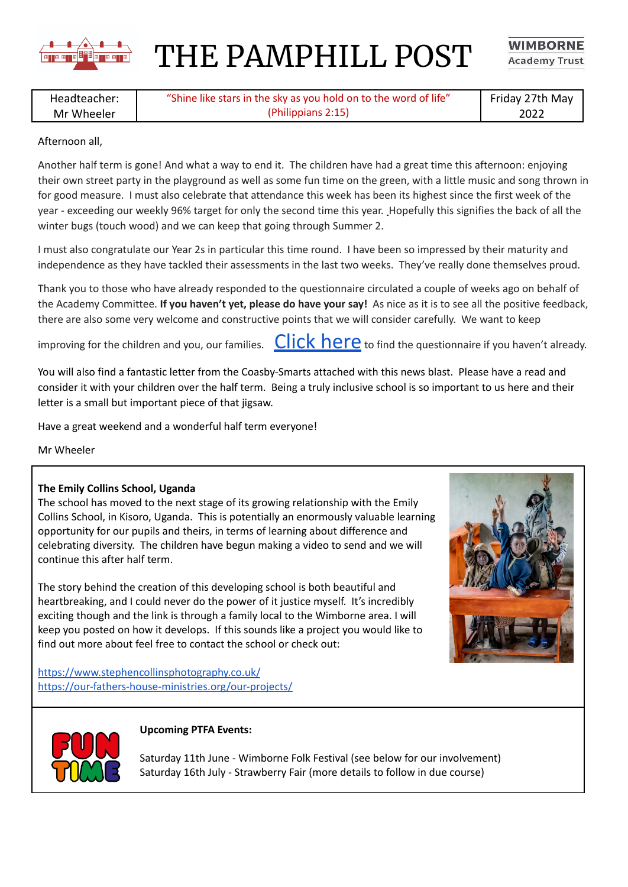

THE PAMPHILL POST

**WIMBORNE Academy Trust** 

Headteacher: Mr Wheeler "Shine like stars in the sky as you hold on to the word of life" (Philippians 2:15) Friday 27th May 2022

## Afternoon all,

Another half term is gone! And what a way to end it. The children have had a great time this afternoon: enjoying their own street party in the playground as well as some fun time on the green, with a little music and song thrown in for good measure. I must also celebrate that attendance this week has been its highest since the first week of the year - exceeding our weekly 96% target for only the second time this year. Hopefully this signifies the back of all the winter bugs (touch wood) and we can keep that going through Summer 2.

I must also congratulate our Year 2s in particular this time round. I have been so impressed by their maturity and independence as they have tackled their assessments in the last two weeks. They've really done themselves proud.

Thank you to those who have already responded to the questionnaire circulated a couple of weeks ago on behalf of the Academy Committee. **If you haven't yet, please do have your say!** As nice as it is to see all the positive feedback, there are also some very welcome and constructive points that we will consider carefully. We want to keep

improving for the children and you, our families.  $Click here$  to find the questionnaire if you haven't already.

You will also find a fantastic letter from the Coasby-Smarts attached with this news blast. Please have a read and consider it with your children over the half term. Being a truly inclusive school is so important to us here and their letter is a small but important piece of that jigsaw.

Have a great weekend and a wonderful half term everyone!

Mr Wheeler

## **The Emily Collins School, Uganda**

The school has moved to the next stage of its growing relationship with the Emily Collins School, in Kisoro, Uganda. This is potentially an enormously valuable learning opportunity for our pupils and theirs, in terms of learning about difference and celebrating diversity. The children have begun making a video to send and we will continue this after half term.

The story behind the creation of this developing school is both beautiful and heartbreaking, and I could never do the power of it justice myself. It's incredibly exciting though and the link is through a family local to the Wimborne area. I will keep you posted on how it develops. If this sounds like a project you would like to find out more about feel free to contact the school or check out:



<https://www.stephencollinsphotography.co.uk/> <https://our-fathers-house-ministries.org/our-projects/>



## **Upcoming PTFA Events:**

Saturday 11th June - Wimborne Folk Festival (see below for our involvement) Saturday 16th July - Strawberry Fair (more details to follow in due course)